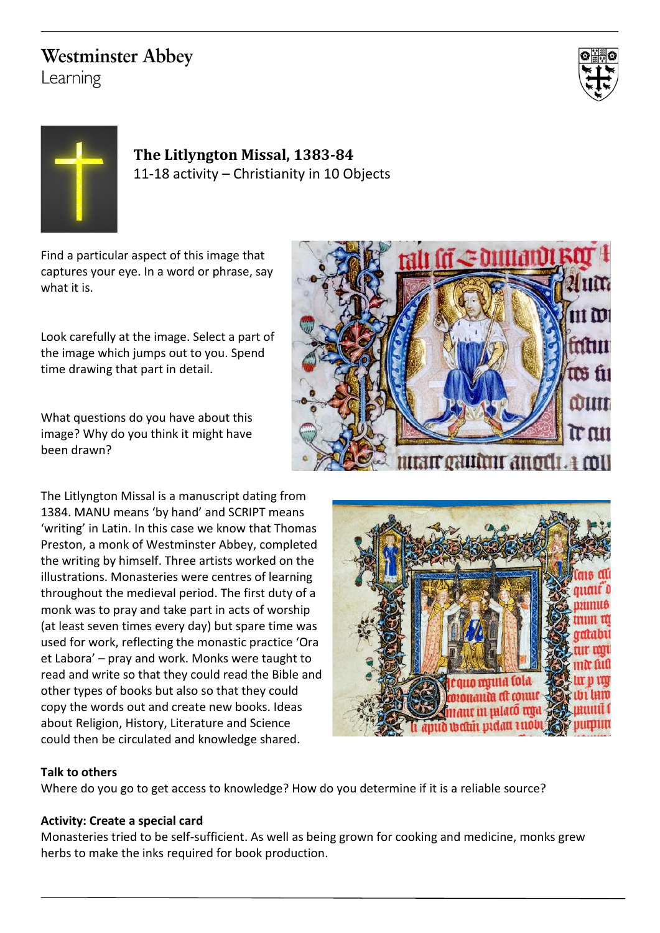## **Westminster Abbey**

Learning





**The Litlyngton Missal, 1383-84** 11-18 activity – Christianity in 10 Objects

Find a particular aspect of this image that captures your eye. In a word or phrase, say what it is.

Look carefully at the image. Select a part of the image which jumps out to you. Spend time drawing that part in detail.

What questions do you have about this image? Why do you think it might have been drawn?

The Litlyngton Missal is a manuscript dating from 1384. MANU means 'by hand' and SCRIPT means 'writing' in Latin. In this case we know that Thomas Preston, a monk of Westminster Abbey, completed the writing by himself. Three artists worked on the illustrations. Monasteries were centres of learning throughout the medieval period. The first duty of a monk was to pray and take part in acts of worship (at least seven times every day) but spare time was used for work, reflecting the monastic practice 'Ora et Labora' – pray and work. Monks were taught to read and write so that they could read the Bible and other types of books but also so that they could copy the words out and create new books. Ideas about Religion, History, Literature and Science could then be circulated and knowledge shared.





## **Talk to others**

Where do you go to get access to knowledge? How do you determine if it is a reliable source?

## **Activity: Create a special card**

Monasteries tried to be self-sufficient. As well as being grown for cooking and medicine, monks grew herbs to make the inks required for book production.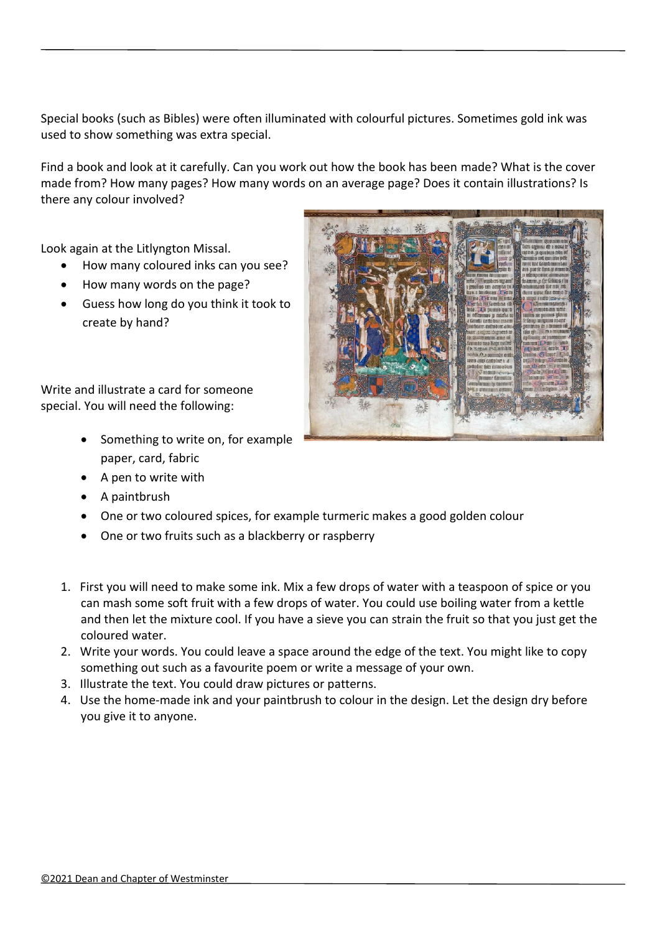Special books (such as Bibles) were often illuminated with colourful pictures. Sometimes gold ink was used to show something was extra special.

Find a book and look at it carefully. Can you work out how the book has been made? What is the cover made from? How many pages? How many words on an average page? Does it contain illustrations? Is there any colour involved?

Look again at the Litlyngton Missal.

- How many coloured inks can you see?
- How many words on the page?
- Guess how long do you think it took to create by hand?

Write and illustrate a card for someone special. You will need the following:

- Something to write on, for example paper, card, fabric
- A pen to write with
- A paintbrush
- One or two coloured spices, for example turmeric makes a good golden colour
- One or two fruits such as a blackberry or raspberry
- 1. First you will need to make some ink. Mix a few drops of water with a teaspoon of spice or you can mash some soft fruit with a few drops of water. You could use boiling water from a kettle and then let the mixture cool. If you have a sieve you can strain the fruit so that you just get the coloured water.
- 2. Write your words. You could leave a space around the edge of the text. You might like to copy something out such as a favourite poem or write a message of your own.
- 3. Illustrate the text. You could draw pictures or patterns.
- 4. Use the home-made ink and your paintbrush to colour in the design. Let the design dry before you give it to anyone.